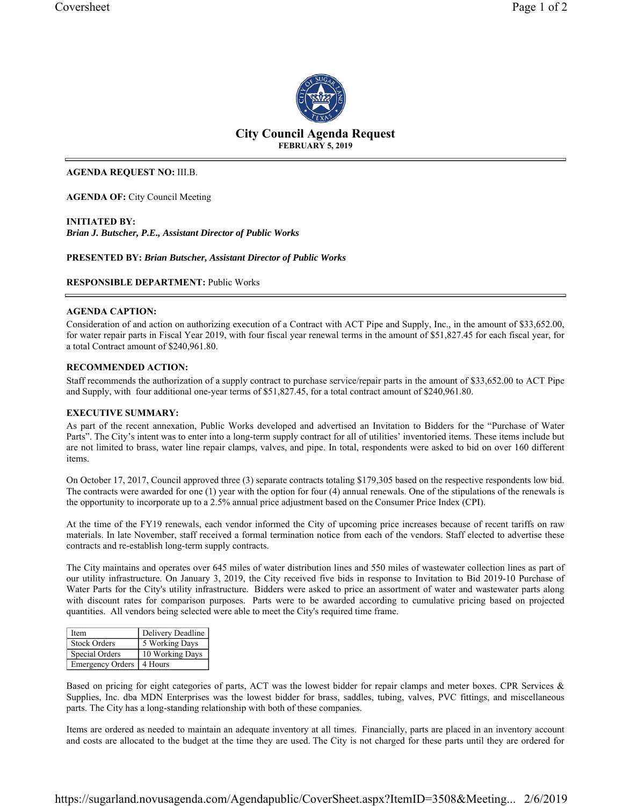

# **City Council Agenda Request FEBRUARY 5, 2019**

# **AGENDA REQUEST NO:** III.B.

**AGENDA OF:** City Council Meeting

**INITIATED BY:**  *Brian J. Butscher, P.E., Assistant Director of Public Works*

**PRESENTED BY:** *Brian Butscher, Assistant Director of Public Works* 

**RESPONSIBLE DEPARTMENT:** Public Works

# **AGENDA CAPTION:**

Consideration of and action on authorizing execution of a Contract with ACT Pipe and Supply, Inc., in the amount of \$33,652.00, for water repair parts in Fiscal Year 2019, with four fiscal year renewal terms in the amount of \$51,827.45 for each fiscal year, for a total Contract amount of \$240,961.80.

# **RECOMMENDED ACTION:**

Staff recommends the authorization of a supply contract to purchase service/repair parts in the amount of \$33,652.00 to ACT Pipe and Supply, with four additional one-year terms of \$51,827.45, for a total contract amount of \$240,961.80.

# **EXECUTIVE SUMMARY:**

As part of the recent annexation, Public Works developed and advertised an Invitation to Bidders for the "Purchase of Water Parts". The City's intent was to enter into a long-term supply contract for all of utilities' inventoried items. These items include but are not limited to brass, water line repair clamps, valves, and pipe. In total, respondents were asked to bid on over 160 different items.

On October 17, 2017, Council approved three (3) separate contracts totaling \$179,305 based on the respective respondents low bid. The contracts were awarded for one (1) year with the option for four (4) annual renewals. One of the stipulations of the renewals is the opportunity to incorporate up to a 2.5% annual price adjustment based on the Consumer Price Index (CPI).

At the time of the FY19 renewals, each vendor informed the City of upcoming price increases because of recent tariffs on raw materials. In late November, staff received a formal termination notice from each of the vendors. Staff elected to advertise these contracts and re-establish long-term supply contracts.

The City maintains and operates over 645 miles of water distribution lines and 550 miles of wastewater collection lines as part of our utility infrastructure. On January 3, 2019, the City received five bids in response to Invitation to Bid 2019-10 Purchase of Water Parts for the City's utility infrastructure. Bidders were asked to price an assortment of water and wastewater parts along with discount rates for comparison purposes. Parts were to be awarded according to cumulative pricing based on projected quantities. All vendors being selected were able to meet the City's required time frame.

| Item                       | Delivery Deadline |
|----------------------------|-------------------|
| <b>Stock Orders</b>        | 5 Working Days    |
| Special Orders             | 10 Working Days   |
| Emergency Orders   4 Hours |                   |

Based on pricing for eight categories of parts, ACT was the lowest bidder for repair clamps and meter boxes. CPR Services & Supplies, Inc. dba MDN Enterprises was the lowest bidder for brass, saddles, tubing, valves, PVC fittings, and miscellaneous parts. The City has a long-standing relationship with both of these companies.

Items are ordered as needed to maintain an adequate inventory at all times. Financially, parts are placed in an inventory account and costs are allocated to the budget at the time they are used. The City is not charged for these parts until they are ordered for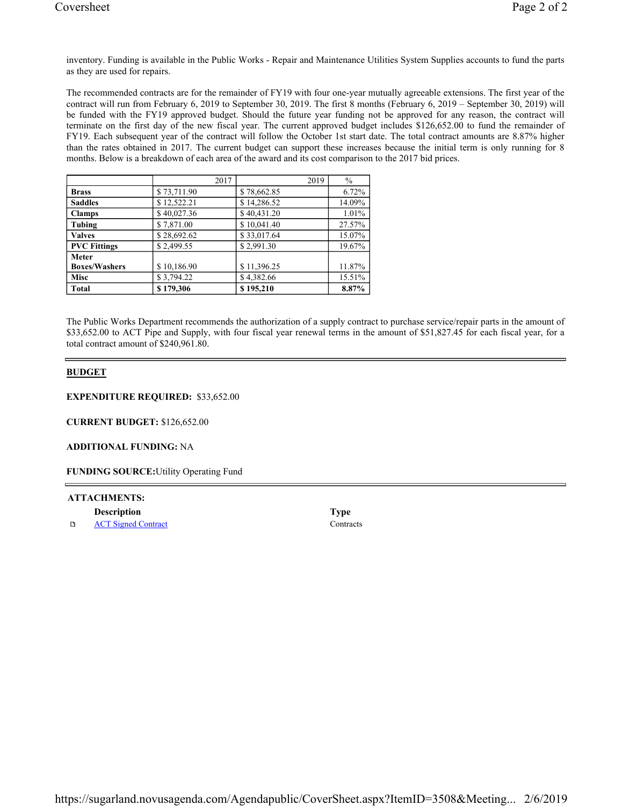inventory. Funding is available in the Public Works - Repair and Maintenance Utilities System Supplies accounts to fund the parts as they are used for repairs.

The recommended contracts are for the remainder of FY19 with four one-year mutually agreeable extensions. The first year of the contract will run from February 6, 2019 to September 30, 2019. The first 8 months (February 6, 2019 – September 30, 2019) will be funded with the FY19 approved budget. Should the future year funding not be approved for any reason, the contract will terminate on the first day of the new fiscal year. The current approved budget includes \$126,652.00 to fund the remainder of FY19. Each subsequent year of the contract will follow the October 1st start date. The total contract amounts are 8.87% higher than the rates obtained in 2017. The current budget can support these increases because the initial term is only running for 8 months. Below is a breakdown of each area of the award and its cost comparison to the 2017 bid prices.

|                      | 2017        | 2019        | $\%$   |
|----------------------|-------------|-------------|--------|
| <b>Brass</b>         | \$73,711.90 | \$78,662.85 | 6.72%  |
| <b>Saddles</b>       | \$12,522.21 | \$14,286.52 | 14.09% |
| <b>Clamps</b>        | \$40,027.36 | \$40,431.20 | 1.01%  |
| Tubing               | \$7,871.00  | \$10,041.40 | 27.57% |
| <b>Valves</b>        | \$28,692.62 | \$33,017.64 | 15.07% |
| <b>PVC Fittings</b>  | \$2,499.55  | \$2,991.30  | 19.67% |
| <b>Meter</b>         |             |             |        |
| <b>Boxes/Washers</b> | \$10,186.90 | \$11,396.25 | 11.87% |
| Misc                 | \$3,794.22  | \$4,382.66  | 15.51% |
| <b>Total</b>         | \$179,306   | \$195,210   | 8.87%  |

The Public Works Department recommends the authorization of a supply contract to purchase service/repair parts in the amount of \$33,652.00 to ACT Pipe and Supply, with four fiscal year renewal terms in the amount of \$51,827.45 for each fiscal year, for a total contract amount of \$240,961.80.

# **BUDGET**

**EXPENDITURE REQUIRED:** \$33,652.00

**CURRENT BUDGET:** \$126,652.00

# **ADDITIONAL FUNDING:** NA

**FUNDING SOURCE:**Utility Operating Fund

# **ATTACHMENTS:**

| <b>Description</b> | 1 ype |
|--------------------|-------|
|                    |       |

 $\Box$ ACT Signed Contract Contracts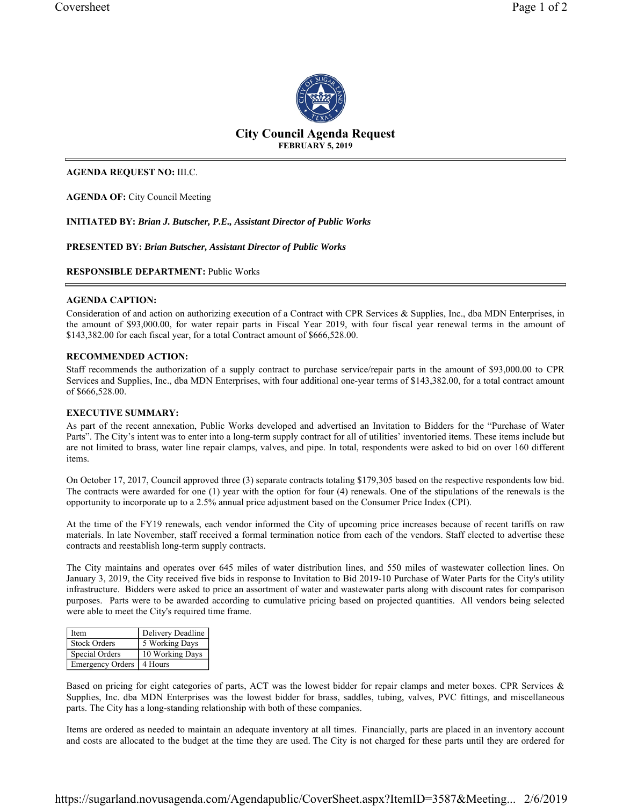

# **City Council Agenda Request FEBRUARY 5, 2019**

# **AGENDA REQUEST NO:** III.C.

**AGENDA OF:** City Council Meeting

**INITIATED BY:** *Brian J. Butscher, P.E., Assistant Director of Public Works* 

# **PRESENTED BY:** *Brian Butscher, Assistant Director of Public Works*

# **RESPONSIBLE DEPARTMENT:** Public Works

# **AGENDA CAPTION:**

Consideration of and action on authorizing execution of a Contract with CPR Services & Supplies, Inc., dba MDN Enterprises, in the amount of \$93,000.00, for water repair parts in Fiscal Year 2019, with four fiscal year renewal terms in the amount of \$143,382.00 for each fiscal year, for a total Contract amount of \$666,528.00.

# **RECOMMENDED ACTION:**

Staff recommends the authorization of a supply contract to purchase service/repair parts in the amount of \$93,000.00 to CPR Services and Supplies, Inc., dba MDN Enterprises, with four additional one-year terms of \$143,382.00, for a total contract amount of \$666,528.00.

# **EXECUTIVE SUMMARY:**

As part of the recent annexation, Public Works developed and advertised an Invitation to Bidders for the "Purchase of Water Parts". The City's intent was to enter into a long-term supply contract for all of utilities' inventoried items. These items include but are not limited to brass, water line repair clamps, valves, and pipe. In total, respondents were asked to bid on over 160 different items.

On October 17, 2017, Council approved three (3) separate contracts totaling \$179,305 based on the respective respondents low bid. The contracts were awarded for one (1) year with the option for four (4) renewals. One of the stipulations of the renewals is the opportunity to incorporate up to a 2.5% annual price adjustment based on the Consumer Price Index (CPI).

At the time of the FY19 renewals, each vendor informed the City of upcoming price increases because of recent tariffs on raw materials. In late November, staff received a formal termination notice from each of the vendors. Staff elected to advertise these contracts and reestablish long-term supply contracts.

The City maintains and operates over 645 miles of water distribution lines, and 550 miles of wastewater collection lines. On January 3, 2019, the City received five bids in response to Invitation to Bid 2019-10 Purchase of Water Parts for the City's utility infrastructure. Bidders were asked to price an assortment of water and wastewater parts along with discount rates for comparison purposes. Parts were to be awarded according to cumulative pricing based on projected quantities. All vendors being selected were able to meet the City's required time frame.

| Item                       | Delivery Deadline |
|----------------------------|-------------------|
| <b>Stock Orders</b>        | 5 Working Days    |
| Special Orders             | 10 Working Days   |
| Emergency Orders   4 Hours |                   |

Based on pricing for eight categories of parts, ACT was the lowest bidder for repair clamps and meter boxes. CPR Services & Supplies, Inc. dba MDN Enterprises was the lowest bidder for brass, saddles, tubing, valves, PVC fittings, and miscellaneous parts. The City has a long-standing relationship with both of these companies.

Items are ordered as needed to maintain an adequate inventory at all times. Financially, parts are placed in an inventory account and costs are allocated to the budget at the time they are used. The City is not charged for these parts until they are ordered for